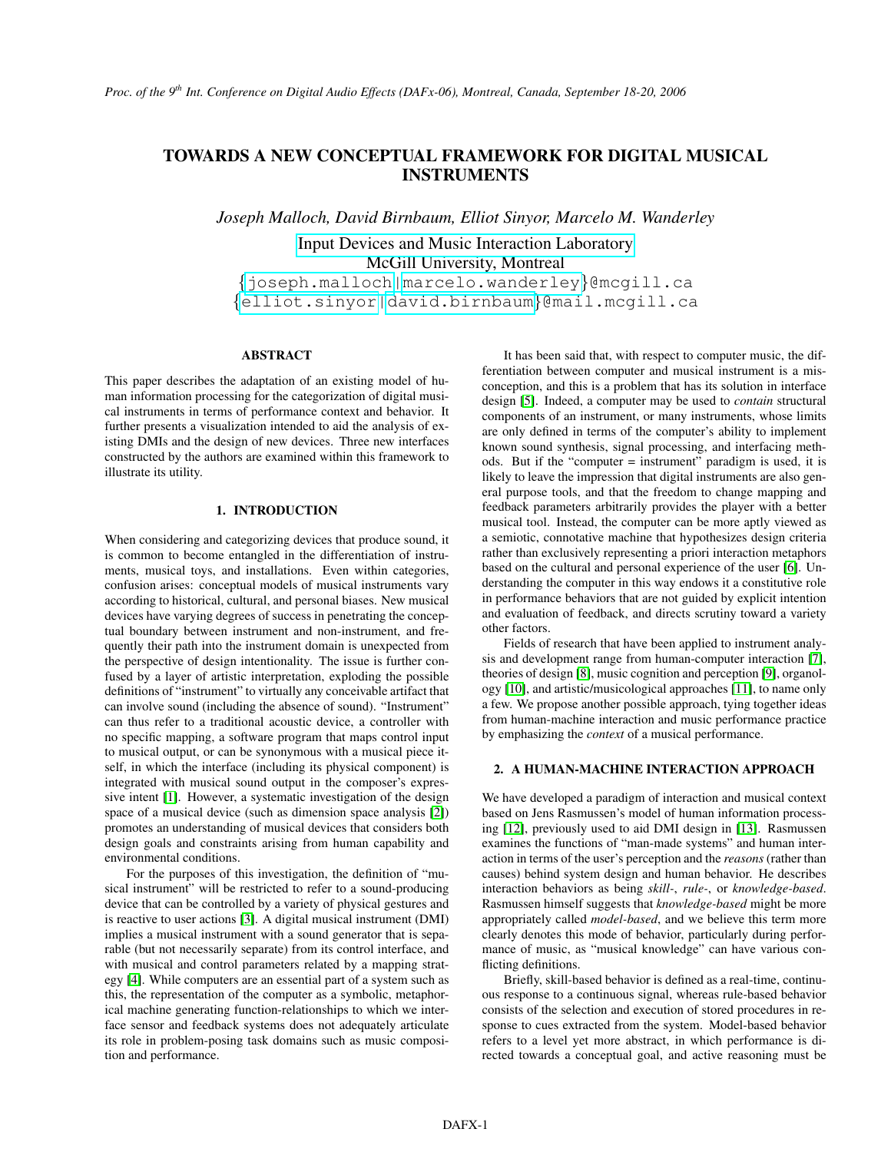# TOWARDS A NEW CONCEPTUAL FRAMEWORK FOR DIGITAL MUSICAL INSTRUMENTS

*Joseph Malloch, David Birnbaum, Elliot Sinyor, Marcelo M. Wanderley*

[Input Devices and Music Interaction Laboratory](http://www.music.mcgill.ca/musictech/idmil) McGill University, Montreal

{[joseph.malloch|](mailto:joseph.malloch@mcgill.ca)[marcelo.wanderley](mailto:marcelo.wanderley@mcgill.ca)}@mcgill.ca {[elliot.sinyor](mailto:elliot.sinyor@mail.mcgill.ca)[|david.birnbaum](mailto:david.birnbaum@mail.mcgill.ca)}@mail.mcgill.ca

## ABSTRACT

This paper describes the adaptation of an existing model of human information processing for the categorization of digital musical instruments in terms of performance context and behavior. It further presents a visualization intended to aid the analysis of existing DMIs and the design of new devices. Three new interfaces constructed by the authors are examined within this framework to illustrate its utility.

## 1. INTRODUCTION

When considering and categorizing devices that produce sound, it is common to become entangled in the differentiation of instruments, musical toys, and installations. Even within categories, confusion arises: conceptual models of musical instruments vary according to historical, cultural, and personal biases. New musical devices have varying degrees of success in penetrating the conceptual boundary between instrument and non-instrument, and frequently their path into the instrument domain is unexpected from the perspective of design intentionality. The issue is further confused by a layer of artistic interpretation, exploding the possible definitions of "instrument" to virtually any conceivable artifact that can involve sound (including the absence of sound). "Instrument" can thus refer to a traditional acoustic device, a controller with no specific mapping, a software program that maps control input to musical output, or can be synonymous with a musical piece itself, in which the interface (including its physical component) is integrated with musical sound output in the composer's expressive intent [\[1\]](#page-3-0). However, a systematic investigation of the design space of a musical device (such as dimension space analysis [\[2\]](#page-3-1)) promotes an understanding of musical devices that considers both design goals and constraints arising from human capability and environmental conditions.

For the purposes of this investigation, the definition of "musical instrument" will be restricted to refer to a sound-producing device that can be controlled by a variety of physical gestures and is reactive to user actions [\[3\]](#page-3-2). A digital musical instrument (DMI) implies a musical instrument with a sound generator that is separable (but not necessarily separate) from its control interface, and with musical and control parameters related by a mapping strategy [\[4\]](#page-3-3). While computers are an essential part of a system such as this, the representation of the computer as a symbolic, metaphorical machine generating function-relationships to which we interface sensor and feedback systems does not adequately articulate its role in problem-posing task domains such as music composition and performance.

It has been said that, with respect to computer music, the differentiation between computer and musical instrument is a misconception, and this is a problem that has its solution in interface design [\[5\]](#page-3-4). Indeed, a computer may be used to *contain* structural components of an instrument, or many instruments, whose limits are only defined in terms of the computer's ability to implement known sound synthesis, signal processing, and interfacing methods. But if the "computer = instrument" paradigm is used, it is likely to leave the impression that digital instruments are also general purpose tools, and that the freedom to change mapping and feedback parameters arbitrarily provides the player with a better musical tool. Instead, the computer can be more aptly viewed as a semiotic, connotative machine that hypothesizes design criteria rather than exclusively representing a priori interaction metaphors based on the cultural and personal experience of the user [\[6\]](#page-3-5). Understanding the computer in this way endows it a constitutive role in performance behaviors that are not guided by explicit intention and evaluation of feedback, and directs scrutiny toward a variety other factors.

Fields of research that have been applied to instrument analysis and development range from human-computer interaction [\[7\]](#page-3-6), theories of design [\[8\]](#page-3-7), music cognition and perception [\[9\]](#page-3-8), organology [\[10\]](#page-3-9), and artistic/musicological approaches [\[11\]](#page-3-10), to name only a few. We propose another possible approach, tying together ideas from human-machine interaction and music performance practice by emphasizing the *context* of a musical performance.

# 2. A HUMAN-MACHINE INTERACTION APPROACH

We have developed a paradigm of interaction and musical context based on Jens Rasmussen's model of human information processing [\[12\]](#page-3-11), previously used to aid DMI design in [\[13\]](#page-3-12). Rasmussen examines the functions of "man-made systems" and human interaction in terms of the user's perception and the *reasons* (rather than causes) behind system design and human behavior. He describes interaction behaviors as being *skill-*, *rule-*, or *knowledge-based*. Rasmussen himself suggests that *knowledge-based* might be more appropriately called *model-based*, and we believe this term more clearly denotes this mode of behavior, particularly during performance of music, as "musical knowledge" can have various conflicting definitions.

Briefly, skill-based behavior is defined as a real-time, continuous response to a continuous signal, whereas rule-based behavior consists of the selection and execution of stored procedures in response to cues extracted from the system. Model-based behavior refers to a level yet more abstract, in which performance is directed towards a conceptual goal, and active reasoning must be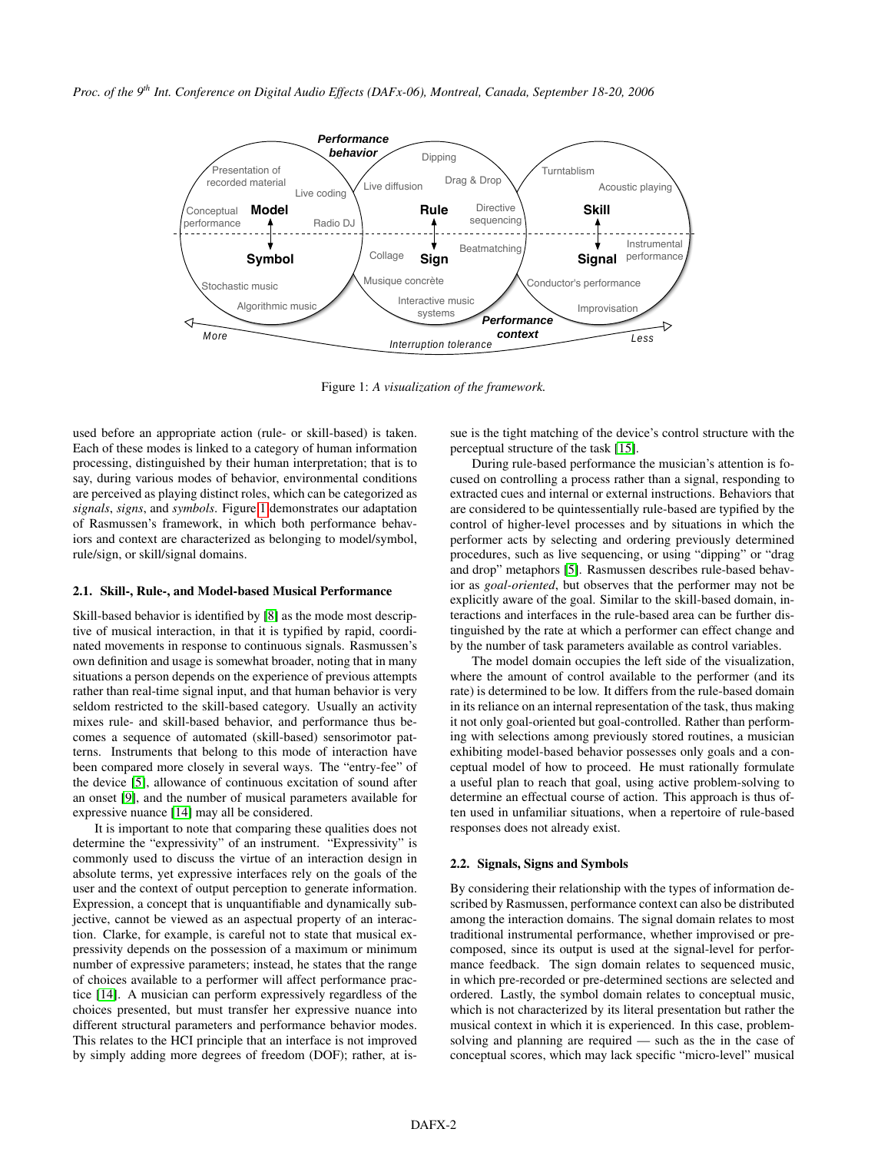

<span id="page-1-0"></span>Figure 1: *A visualization of the framework.*

used before an appropriate action (rule- or skill-based) is taken. Each of these modes is linked to a category of human information processing, distinguished by their human interpretation; that is to say, during various modes of behavior, environmental conditions are perceived as playing distinct roles, which can be categorized as *signals*, *signs*, and *symbols*. Figure [1](#page-1-0) demonstrates our adaptation of Rasmussen's framework, in which both performance behaviors and context are characterized as belonging to model/symbol, rule/sign, or skill/signal domains.

#### 2.1. Skill-, Rule-, and Model-based Musical Performance

Skill-based behavior is identified by [\[8\]](#page-3-7) as the mode most descriptive of musical interaction, in that it is typified by rapid, coordinated movements in response to continuous signals. Rasmussen's own definition and usage is somewhat broader, noting that in many situations a person depends on the experience of previous attempts rather than real-time signal input, and that human behavior is very seldom restricted to the skill-based category. Usually an activity mixes rule- and skill-based behavior, and performance thus becomes a sequence of automated (skill-based) sensorimotor patterns. Instruments that belong to this mode of interaction have been compared more closely in several ways. The "entry-fee" of the device [\[5\]](#page-3-4), allowance of continuous excitation of sound after an onset [\[9\]](#page-3-8), and the number of musical parameters available for expressive nuance [\[14\]](#page-3-13) may all be considered.

It is important to note that comparing these qualities does not determine the "expressivity" of an instrument. "Expressivity" is commonly used to discuss the virtue of an interaction design in absolute terms, yet expressive interfaces rely on the goals of the user and the context of output perception to generate information. Expression, a concept that is unquantifiable and dynamically subjective, cannot be viewed as an aspectual property of an interaction. Clarke, for example, is careful not to state that musical expressivity depends on the possession of a maximum or minimum number of expressive parameters; instead, he states that the range of choices available to a performer will affect performance practice [\[14\]](#page-3-13). A musician can perform expressively regardless of the choices presented, but must transfer her expressive nuance into different structural parameters and performance behavior modes. This relates to the HCI principle that an interface is not improved by simply adding more degrees of freedom (DOF); rather, at issue is the tight matching of the device's control structure with the perceptual structure of the task [\[15\]](#page-3-14).

During rule-based performance the musician's attention is focused on controlling a process rather than a signal, responding to extracted cues and internal or external instructions. Behaviors that are considered to be quintessentially rule-based are typified by the control of higher-level processes and by situations in which the performer acts by selecting and ordering previously determined procedures, such as live sequencing, or using "dipping" or "drag and drop" metaphors [\[5\]](#page-3-4). Rasmussen describes rule-based behavior as *goal-oriented*, but observes that the performer may not be explicitly aware of the goal. Similar to the skill-based domain, interactions and interfaces in the rule-based area can be further distinguished by the rate at which a performer can effect change and by the number of task parameters available as control variables.

The model domain occupies the left side of the visualization, where the amount of control available to the performer (and its rate) is determined to be low. It differs from the rule-based domain in its reliance on an internal representation of the task, thus making it not only goal-oriented but goal-controlled. Rather than performing with selections among previously stored routines, a musician exhibiting model-based behavior possesses only goals and a conceptual model of how to proceed. He must rationally formulate a useful plan to reach that goal, using active problem-solving to determine an effectual course of action. This approach is thus often used in unfamiliar situations, when a repertoire of rule-based responses does not already exist.

#### 2.2. Signals, Signs and Symbols

By considering their relationship with the types of information described by Rasmussen, performance context can also be distributed among the interaction domains. The signal domain relates to most traditional instrumental performance, whether improvised or precomposed, since its output is used at the signal-level for performance feedback. The sign domain relates to sequenced music, in which pre-recorded or pre-determined sections are selected and ordered. Lastly, the symbol domain relates to conceptual music, which is not characterized by its literal presentation but rather the musical context in which it is experienced. In this case, problemsolving and planning are required — such as the in the case of conceptual scores, which may lack specific "micro-level" musical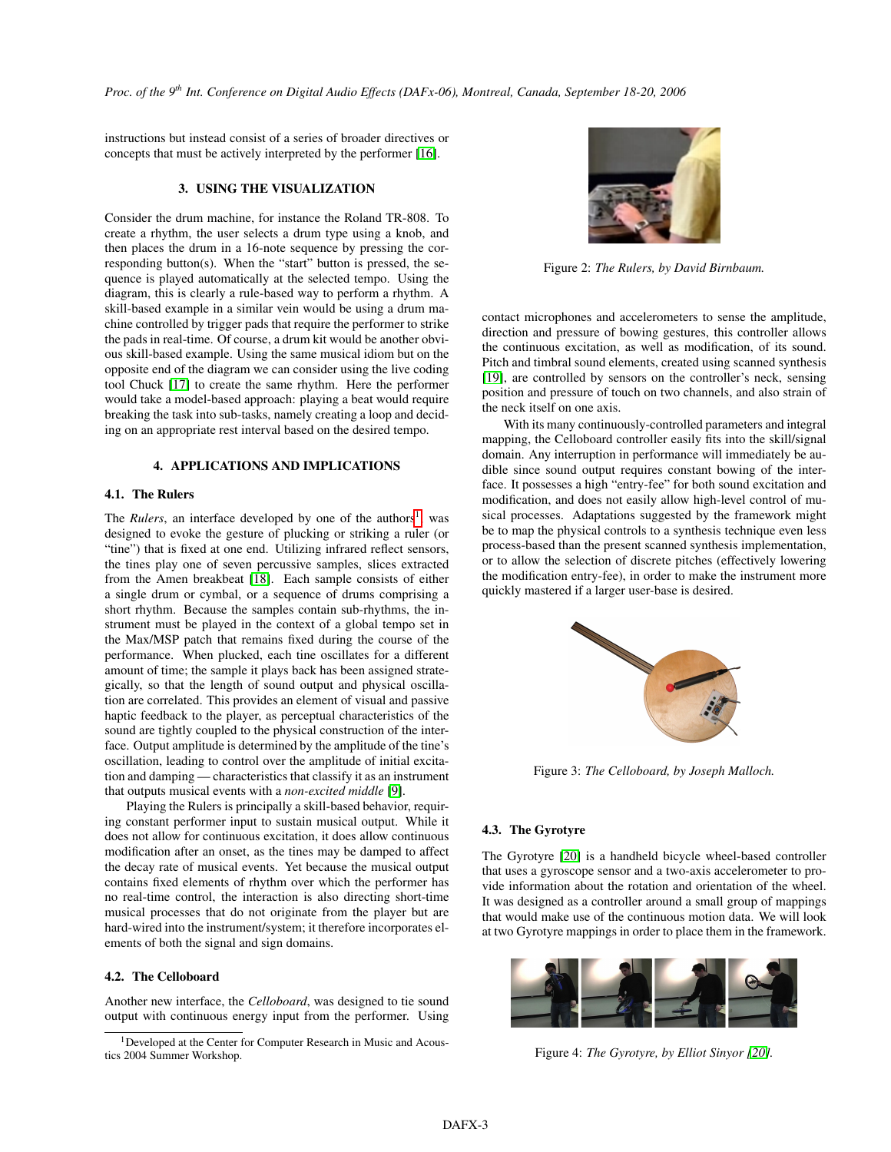instructions but instead consist of a series of broader directives or concepts that must be actively interpreted by the performer [\[16\]](#page-3-15).

# 3. USING THE VISUALIZATION

Consider the drum machine, for instance the Roland TR-808. To create a rhythm, the user selects a drum type using a knob, and then places the drum in a 16-note sequence by pressing the corresponding button(s). When the "start" button is pressed, the sequence is played automatically at the selected tempo. Using the diagram, this is clearly a rule-based way to perform a rhythm. A skill-based example in a similar vein would be using a drum machine controlled by trigger pads that require the performer to strike the pads in real-time. Of course, a drum kit would be another obvious skill-based example. Using the same musical idiom but on the opposite end of the diagram we can consider using the live coding tool Chuck [\[17\]](#page-3-16) to create the same rhythm. Here the performer would take a model-based approach: playing a beat would require breaking the task into sub-tasks, namely creating a loop and deciding on an appropriate rest interval based on the desired tempo.

# 4. APPLICATIONS AND IMPLICATIONS

# 4.1. The Rulers

The *Rulers*, an interface developed by one of the authors<sup>[1](#page-2-0)</sup>, was designed to evoke the gesture of plucking or striking a ruler (or "tine") that is fixed at one end. Utilizing infrared reflect sensors, the tines play one of seven percussive samples, slices extracted from the Amen breakbeat [\[18\]](#page-3-17). Each sample consists of either a single drum or cymbal, or a sequence of drums comprising a short rhythm. Because the samples contain sub-rhythms, the instrument must be played in the context of a global tempo set in the Max/MSP patch that remains fixed during the course of the performance. When plucked, each tine oscillates for a different amount of time; the sample it plays back has been assigned strategically, so that the length of sound output and physical oscillation are correlated. This provides an element of visual and passive haptic feedback to the player, as perceptual characteristics of the sound are tightly coupled to the physical construction of the interface. Output amplitude is determined by the amplitude of the tine's oscillation, leading to control over the amplitude of initial excitation and damping — characteristics that classify it as an instrument that outputs musical events with a *non-excited middle* [\[9\]](#page-3-8).

Playing the Rulers is principally a skill-based behavior, requiring constant performer input to sustain musical output. While it does not allow for continuous excitation, it does allow continuous modification after an onset, as the tines may be damped to affect the decay rate of musical events. Yet because the musical output contains fixed elements of rhythm over which the performer has no real-time control, the interaction is also directing short-time musical processes that do not originate from the player but are hard-wired into the instrument/system; it therefore incorporates elements of both the signal and sign domains.

### 4.2. The Celloboard

Another new interface, the *Celloboard*, was designed to tie sound output with continuous energy input from the performer. Using



Figure 2: *The Rulers, by David Birnbaum.*

contact microphones and accelerometers to sense the amplitude, direction and pressure of bowing gestures, this controller allows the continuous excitation, as well as modification, of its sound. Pitch and timbral sound elements, created using scanned synthesis [\[19\]](#page-3-18), are controlled by sensors on the controller's neck, sensing position and pressure of touch on two channels, and also strain of the neck itself on one axis.

With its many continuously-controlled parameters and integral mapping, the Celloboard controller easily fits into the skill/signal domain. Any interruption in performance will immediately be audible since sound output requires constant bowing of the interface. It possesses a high "entry-fee" for both sound excitation and modification, and does not easily allow high-level control of musical processes. Adaptations suggested by the framework might be to map the physical controls to a synthesis technique even less process-based than the present scanned synthesis implementation, or to allow the selection of discrete pitches (effectively lowering the modification entry-fee), in order to make the instrument more quickly mastered if a larger user-base is desired.



Figure 3: *The Celloboard, by Joseph Malloch.*

# 4.3. The Gyrotyre

The Gyrotyre [\[20\]](#page-3-19) is a handheld bicycle wheel-based controller that uses a gyroscope sensor and a two-axis accelerometer to provide information about the rotation and orientation of the wheel. It was designed as a controller around a small group of mappings that would make use of the continuous motion data. We will look at two Gyrotyre mappings in order to place them in the framework.



Figure 4: *The Gyrotyre, by Elliot Sinyor [\[20\]](#page-3-19).*

<span id="page-2-0"></span><sup>&</sup>lt;sup>1</sup>Developed at the Center for Computer Research in Music and Acoustics 2004 Summer Workshop.